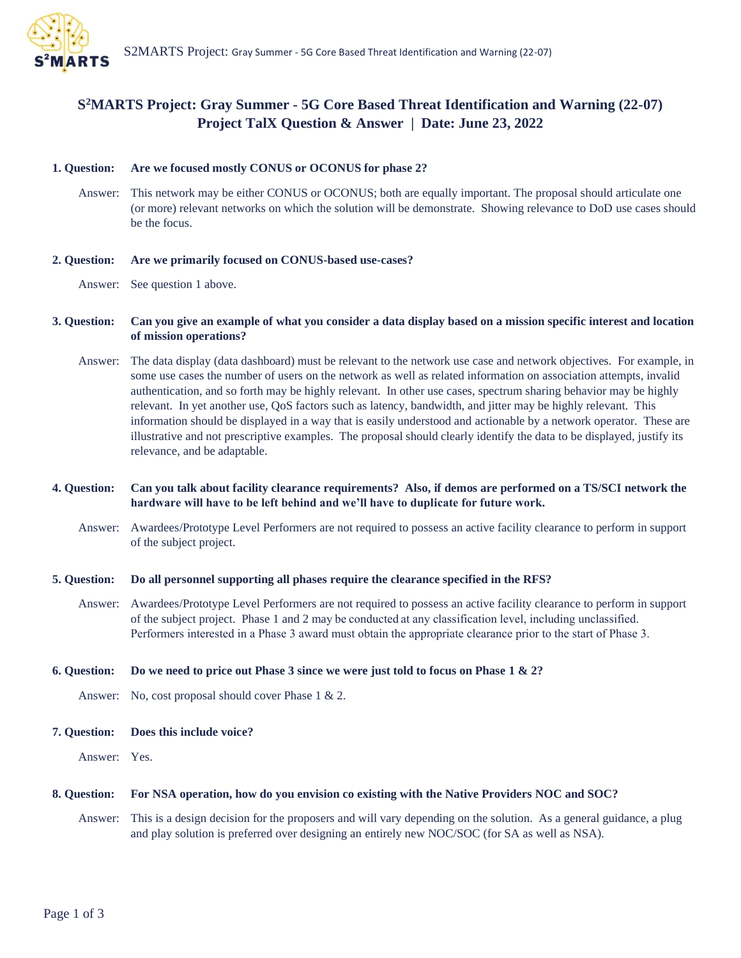

# **S <sup>2</sup>MARTS Project: Gray Summer - 5G Core Based Threat Identification and Warning (22-07) Project TalX Question & Answer | Date: June 23, 2022**

## **1. Question: Are we focused mostly CONUS or OCONUS for phase 2?**

Answer: This network may be either CONUS or OCONUS; both are equally important. The proposal should articulate one (or more) relevant networks on which the solution will be demonstrate. Showing relevance to DoD use cases should be the focus.

## **2. Question: Are we primarily focused on CONUS-based use-cases?**

Answer: See question 1 above.

# **3. Question: Can you give an example of what you consider a data display based on a mission specific interest and location of mission operations?**

Answer: The data display (data dashboard) must be relevant to the network use case and network objectives. For example, in some use cases the number of users on the network as well as related information on association attempts, invalid authentication, and so forth may be highly relevant. In other use cases, spectrum sharing behavior may be highly relevant. In yet another use, QoS factors such as latency, bandwidth, and jitter may be highly relevant. This information should be displayed in a way that is easily understood and actionable by a network operator. These are illustrative and not prescriptive examples. The proposal should clearly identify the data to be displayed, justify its relevance, and be adaptable.

# **4. Question: Can you talk about facility clearance requirements? Also, if demos are performed on a TS/SCI network the hardware will have to be left behind and we'll have to duplicate for future work.**

Answer: Awardees/Prototype Level Performers are not required to possess an active facility clearance to perform in support of the subject project.

### **5. Question: Do all personnel supporting all phases require the clearance specified in the RFS?**

Answer: Awardees/Prototype Level Performers are not required to possess an active facility clearance to perform in support of the subject project. Phase 1 and 2 may be conducted at any classification level, including unclassified.  Performers interested in a Phase 3 award must obtain the appropriate clearance prior to the start of Phase 3.  

### **6. Question: Do we need to price out Phase 3 since we were just told to focus on Phase 1 & 2?**

Answer: No, cost proposal should cover Phase 1 & 2.

## **7. Question: Does this include voice?**

Answer: Yes.

### **8. Question: For NSA operation, how do you envision co existing with the Native Providers NOC and SOC?**

Answer: This is a design decision for the proposers and will vary depending on the solution. As a general guidance, a plug and play solution is preferred over designing an entirely new NOC/SOC (for SA as well as NSA).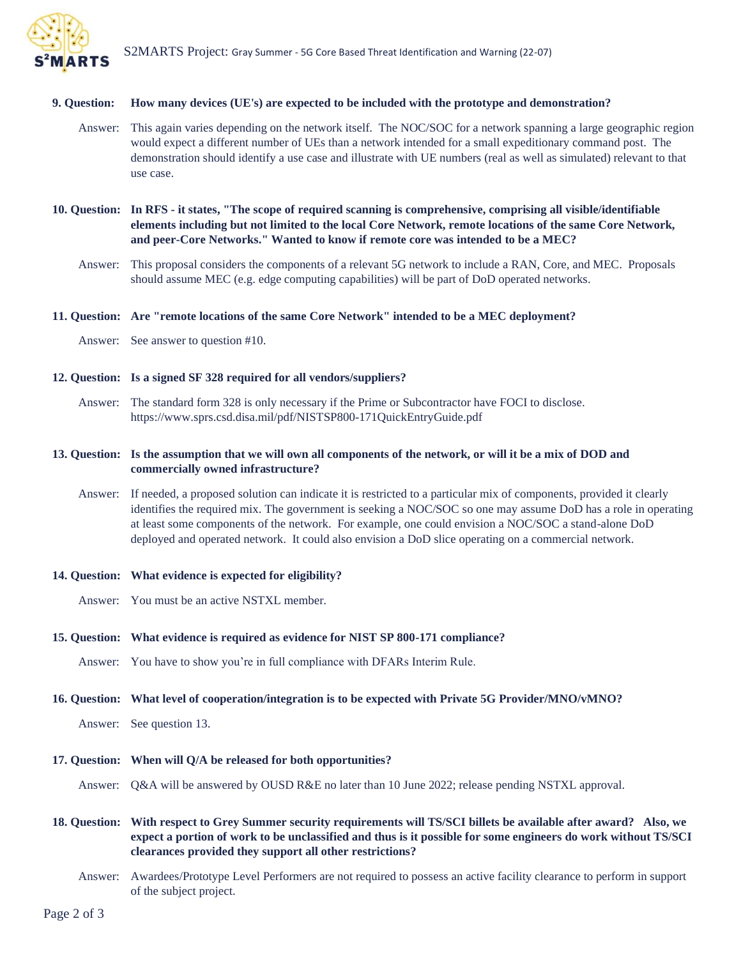

#### **9. Question: How many devices (UE's) are expected to be included with the prototype and demonstration?**

- Answer: This again varies depending on the network itself. The NOC/SOC for a network spanning a large geographic region would expect a different number of UEs than a network intended for a small expeditionary command post. The demonstration should identify a use case and illustrate with UE numbers (real as well as simulated) relevant to that use case.
- **10. Question: In RFS - it states, "The scope of required scanning is comprehensive, comprising all visible/identifiable elements including but not limited to the local Core Network, remote locations of the same Core Network, and peer-Core Networks." Wanted to know if remote core was intended to be a MEC?** 
	- Answer: This proposal considers the components of a relevant 5G network to include a RAN, Core, and MEC. Proposals should assume MEC (e.g. edge computing capabilities) will be part of DoD operated networks.

#### **11. Question: Are "remote locations of the same Core Network" intended to be a MEC deployment?**

Answer: See answer to question #10.

# **12. Question: Is a signed SF 328 required for all vendors/suppliers?**

Answer: The standard form 328 is only necessary if the Prime or Subcontractor have FOCI to disclose. https://www.sprs.csd.disa.mil/pdf/NISTSP800-171QuickEntryGuide.pdf

## **13. Question: Is the assumption that we will own all components of the network, or will it be a mix of DOD and commercially owned infrastructure?**

Answer: If needed, a proposed solution can indicate it is restricted to a particular mix of components, provided it clearly identifies the required mix. The government is seeking a NOC/SOC so one may assume DoD has a role in operating at least some components of the network. For example, one could envision a NOC/SOC a stand-alone DoD deployed and operated network. It could also envision a DoD slice operating on a commercial network.

#### **14. Question: What evidence is expected for eligibility?**

Answer: You must be an active NSTXL member.

#### **15. Question: What evidence is required as evidence for NIST SP 800-171 compliance?**

Answer: You have to show you're in full compliance with DFARs Interim Rule.

## **16. Question: What level of cooperation/integration is to be expected with Private 5G Provider/MNO/vMNO?**

Answer: See question 13.

#### **17. Question: When will Q/A be released for both opportunities?**

Answer: Q&A will be answered by OUSD R&E no later than 10 June 2022; release pending NSTXL approval.

**18. Question: With respect to Grey Summer security requirements will TS/SCI billets be available after award? Also, we expect a portion of work to be unclassified and thus is it possible for some engineers do work without TS/SCI clearances provided they support all other restrictions?** 

Answer: Awardees/Prototype Level Performers are not required to possess an active facility clearance to perform in support of the subject project.